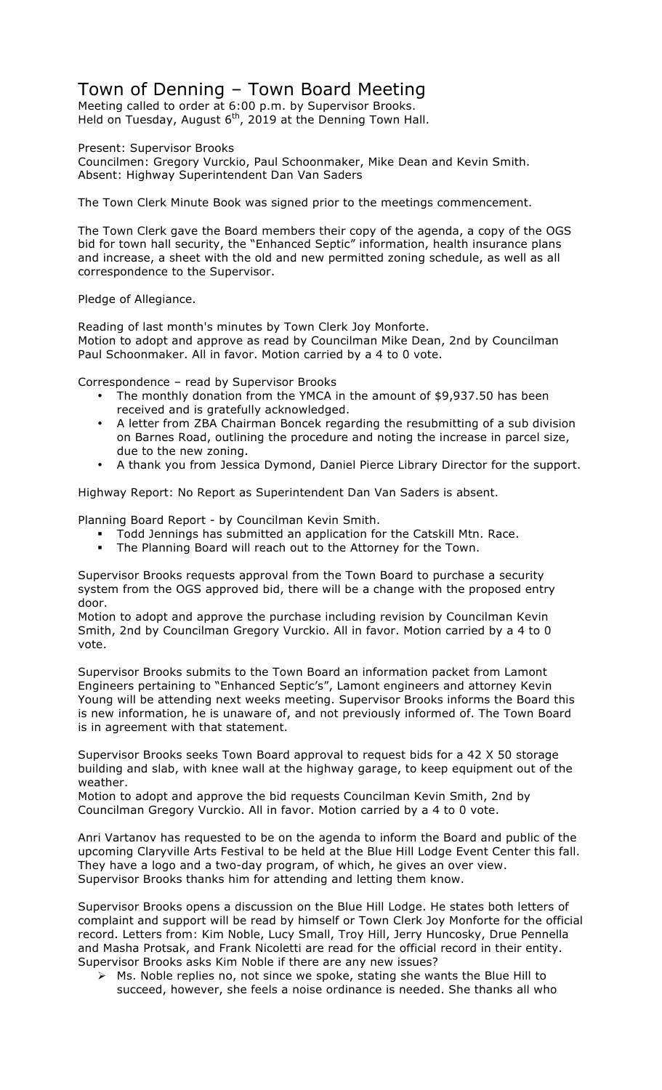## Town of Denning – Town Board Meeting

Meeting called to order at 6:00 p.m. by Supervisor Brooks. Held on Tuesday, August  $6<sup>th</sup>$ , 2019 at the Denning Town Hall.

Present: Supervisor Brooks

Councilmen: Gregory Vurckio, Paul Schoonmaker, Mike Dean and Kevin Smith. Absent: Highway Superintendent Dan Van Saders

The Town Clerk Minute Book was signed prior to the meetings commencement.

The Town Clerk gave the Board members their copy of the agenda, a copy of the OGS bid for town hall security, the "Enhanced Septic" information, health insurance plans and increase, a sheet with the old and new permitted zoning schedule, as well as all correspondence to the Supervisor.

Pledge of Allegiance.

Reading of last month's minutes by Town Clerk Joy Monforte. Motion to adopt and approve as read by Councilman Mike Dean, 2nd by Councilman Paul Schoonmaker. All in favor. Motion carried by a 4 to 0 vote.

Correspondence – read by Supervisor Brooks

- The monthly donation from the YMCA in the amount of \$9,937.50 has been received and is gratefully acknowledged.
- A letter from ZBA Chairman Boncek regarding the resubmitting of a sub division on Barnes Road, outlining the procedure and noting the increase in parcel size, due to the new zoning.
- A thank you from Jessica Dymond, Daniel Pierce Library Director for the support.

Highway Report: No Report as Superintendent Dan Van Saders is absent.

Planning Board Report - by Councilman Kevin Smith.

- ! Todd Jennings has submitted an application for the Catskill Mtn. Race.
- ! The Planning Board will reach out to the Attorney for the Town.

Supervisor Brooks requests approval from the Town Board to purchase a security system from the OGS approved bid, there will be a change with the proposed entry door.

Motion to adopt and approve the purchase including revision by Councilman Kevin Smith, 2nd by Councilman Gregory Vurckio. All in favor. Motion carried by a 4 to 0 vote.

Supervisor Brooks submits to the Town Board an information packet from Lamont Engineers pertaining to "Enhanced Septic's", Lamont engineers and attorney Kevin Young will be attending next weeks meeting. Supervisor Brooks informs the Board this is new information, he is unaware of, and not previously informed of. The Town Board is in agreement with that statement.

Supervisor Brooks seeks Town Board approval to request bids for a 42 X 50 storage building and slab, with knee wall at the highway garage, to keep equipment out of the weather.

Motion to adopt and approve the bid requests Councilman Kevin Smith, 2nd by Councilman Gregory Vurckio. All in favor. Motion carried by a 4 to 0 vote.

Anri Vartanov has requested to be on the agenda to inform the Board and public of the upcoming Claryville Arts Festival to be held at the Blue Hill Lodge Event Center this fall. They have a logo and a two-day program, of which, he gives an over view. Supervisor Brooks thanks him for attending and letting them know.

Supervisor Brooks opens a discussion on the Blue Hill Lodge. He states both letters of complaint and support will be read by himself or Town Clerk Joy Monforte for the official record. Letters from: Kim Noble, Lucy Small, Troy Hill, Jerry Huncosky, Drue Pennella and Masha Protsak, and Frank Nicoletti are read for the official record in their entity. Supervisor Brooks asks Kim Noble if there are any new issues?

 $\triangleright$  Ms. Noble replies no, not since we spoke, stating she wants the Blue Hill to succeed, however, she feels a noise ordinance is needed. She thanks all who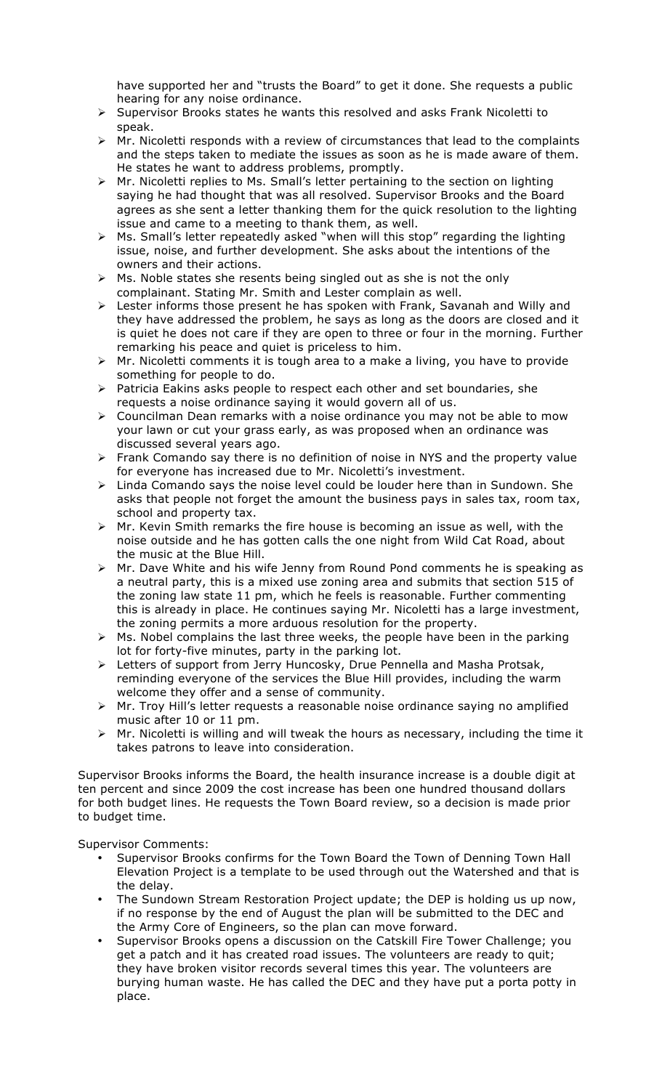have supported her and "trusts the Board" to get it done. She requests a public hearing for any noise ordinance.

- $\triangleright$  Supervisor Brooks states he wants this resolved and asks Frank Nicoletti to speak.
- $\triangleright$  Mr. Nicoletti responds with a review of circumstances that lead to the complaints and the steps taken to mediate the issues as soon as he is made aware of them. He states he want to address problems, promptly.
- $\triangleright$  Mr. Nicoletti replies to Ms. Small's letter pertaining to the section on lighting saying he had thought that was all resolved. Supervisor Brooks and the Board agrees as she sent a letter thanking them for the quick resolution to the lighting issue and came to a meeting to thank them, as well.
- $\triangleright$  Ms. Small's letter repeatedly asked "when will this stop" regarding the lighting issue, noise, and further development. She asks about the intentions of the owners and their actions.
- $\triangleright$  Ms. Noble states she resents being singled out as she is not the only complainant. Stating Mr. Smith and Lester complain as well.
- > Lester informs those present he has spoken with Frank, Savanah and Willy and they have addressed the problem, he says as long as the doors are closed and it is quiet he does not care if they are open to three or four in the morning. Further remarking his peace and quiet is priceless to him.
- $\triangleright$  Mr. Nicoletti comments it is tough area to a make a living, you have to provide something for people to do.
- $\triangleright$  Patricia Eakins asks people to respect each other and set boundaries, she requests a noise ordinance saying it would govern all of us.
- $\triangleright$  Councilman Dean remarks with a noise ordinance you may not be able to mow your lawn or cut your grass early, as was proposed when an ordinance was discussed several years ago.
- $\triangleright$  Frank Comando say there is no definition of noise in NYS and the property value for everyone has increased due to Mr. Nicoletti's investment.
- $\triangleright$  Linda Comando says the noise level could be louder here than in Sundown. She asks that people not forget the amount the business pays in sales tax, room tax, school and property tax.
- $\triangleright$  Mr. Kevin Smith remarks the fire house is becoming an issue as well, with the noise outside and he has gotten calls the one night from Wild Cat Road, about the music at the Blue Hill.
- $\triangleright$  Mr. Dave White and his wife Jenny from Round Pond comments he is speaking as a neutral party, this is a mixed use zoning area and submits that section 515 of the zoning law state 11 pm, which he feels is reasonable. Further commenting this is already in place. He continues saying Mr. Nicoletti has a large investment, the zoning permits a more arduous resolution for the property.
- $\triangleright$  Ms. Nobel complains the last three weeks, the people have been in the parking lot for forty-five minutes, party in the parking lot.
- > Letters of support from Jerry Huncosky, Drue Pennella and Masha Protsak, reminding everyone of the services the Blue Hill provides, including the warm welcome they offer and a sense of community.
- > Mr. Troy Hill's letter requests a reasonable noise ordinance saying no amplified music after 10 or 11 pm.
- $\triangleright$  Mr. Nicoletti is willing and will tweak the hours as necessary, including the time it takes patrons to leave into consideration.

Supervisor Brooks informs the Board, the health insurance increase is a double digit at ten percent and since 2009 the cost increase has been one hundred thousand dollars for both budget lines. He requests the Town Board review, so a decision is made prior to budget time.

Supervisor Comments:

- Supervisor Brooks confirms for the Town Board the Town of Denning Town Hall Elevation Project is a template to be used through out the Watershed and that is the delay.
- The Sundown Stream Restoration Project update; the DEP is holding us up now, if no response by the end of August the plan will be submitted to the DEC and the Army Core of Engineers, so the plan can move forward.
- Supervisor Brooks opens a discussion on the Catskill Fire Tower Challenge; you get a patch and it has created road issues. The volunteers are ready to quit; they have broken visitor records several times this year. The volunteers are burying human waste. He has called the DEC and they have put a porta potty in place.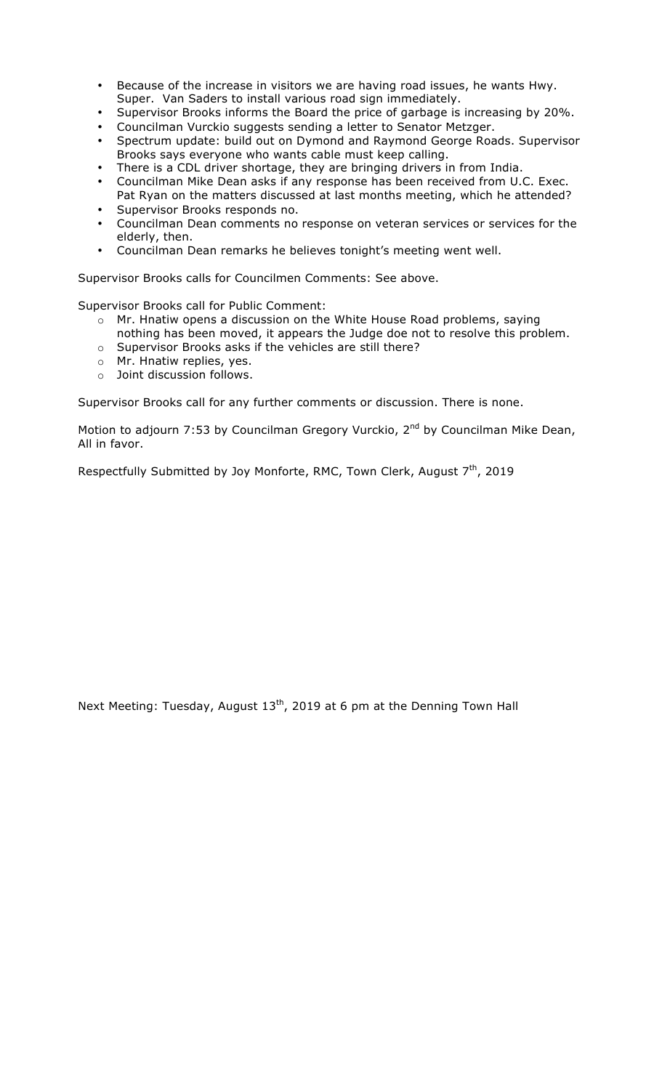- Because of the increase in visitors we are having road issues, he wants Hwy. Super. Van Saders to install various road sign immediately.
- Supervisor Brooks informs the Board the price of garbage is increasing by 20%.
- Councilman Vurckio suggests sending a letter to Senator Metzger.
- Spectrum update: build out on Dymond and Raymond George Roads. Supervisor Brooks says everyone who wants cable must keep calling.
- There is a CDL driver shortage, they are bringing drivers in from India.
- Councilman Mike Dean asks if any response has been received from U.C. Exec. Pat Ryan on the matters discussed at last months meeting, which he attended?
- Supervisor Brooks responds no.
- Councilman Dean comments no response on veteran services or services for the elderly, then.
- Councilman Dean remarks he believes tonight's meeting went well.

Supervisor Brooks calls for Councilmen Comments: See above.

Supervisor Brooks call for Public Comment:

- o Mr. Hnatiw opens a discussion on the White House Road problems, saying nothing has been moved, it appears the Judge doe not to resolve this problem.
- o Supervisor Brooks asks if the vehicles are still there?
- o Mr. Hnatiw replies, yes.
- o Joint discussion follows.

Supervisor Brooks call for any further comments or discussion. There is none.

Motion to adjourn 7:53 by Councilman Gregory Vurckio, 2<sup>nd</sup> by Councilman Mike Dean, All in favor.

Respectfully Submitted by Joy Monforte, RMC, Town Clerk, August 7<sup>th</sup>, 2019

Next Meeting: Tuesday, August 13<sup>th</sup>, 2019 at 6 pm at the Denning Town Hall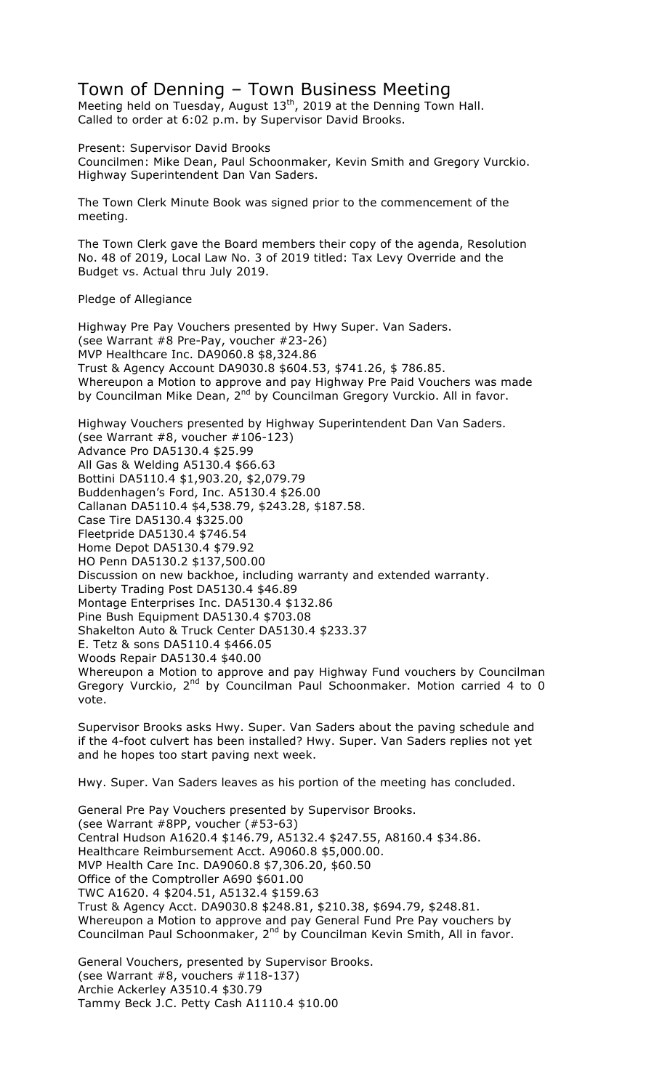## Town of Denning – Town Business Meeting

Meeting held on Tuesday, August  $13^{th}$ , 2019 at the Denning Town Hall. Called to order at 6:02 p.m. by Supervisor David Brooks.

Present: Supervisor David Brooks Councilmen: Mike Dean, Paul Schoonmaker, Kevin Smith and Gregory Vurckio. Highway Superintendent Dan Van Saders.

The Town Clerk Minute Book was signed prior to the commencement of the meeting.

The Town Clerk gave the Board members their copy of the agenda, Resolution No. 48 of 2019, Local Law No. 3 of 2019 titled: Tax Levy Override and the Budget vs. Actual thru July 2019.

## Pledge of Allegiance

Highway Pre Pay Vouchers presented by Hwy Super. Van Saders. (see Warrant #8 Pre-Pay, voucher #23-26) MVP Healthcare Inc. DA9060.8 \$8,324.86 Trust & Agency Account DA9030.8 \$604.53, \$741.26, \$ 786.85. Whereupon a Motion to approve and pay Highway Pre Paid Vouchers was made by Councilman Mike Dean, 2<sup>nd</sup> by Councilman Gregory Vurckio. All in favor.

Highway Vouchers presented by Highway Superintendent Dan Van Saders. (see Warrant #8, voucher #106-123) Advance Pro DA5130.4 \$25.99 All Gas & Welding A5130.4 \$66.63 Bottini DA5110.4 \$1,903.20, \$2,079.79 Buddenhagen's Ford, Inc. A5130.4 \$26.00 Callanan DA5110.4 \$4,538.79, \$243.28, \$187.58. Case Tire DA5130.4 \$325.00 Fleetpride DA5130.4 \$746.54 Home Depot DA5130.4 \$79.92 HO Penn DA5130.2 \$137,500.00 Discussion on new backhoe, including warranty and extended warranty. Liberty Trading Post DA5130.4 \$46.89 Montage Enterprises Inc. DA5130.4 \$132.86 Pine Bush Equipment DA5130.4 \$703.08 Shakelton Auto & Truck Center DA5130.4 \$233.37 E. Tetz & sons DA5110.4 \$466.05 Woods Repair DA5130.4 \$40.00 Whereupon a Motion to approve and pay Highway Fund vouchers by Councilman Gregory Vurckio, 2<sup>nd</sup> by Councilman Paul Schoonmaker. Motion carried 4 to 0 vote.

Supervisor Brooks asks Hwy. Super. Van Saders about the paving schedule and if the 4-foot culvert has been installed? Hwy. Super. Van Saders replies not yet and he hopes too start paving next week.

Hwy. Super. Van Saders leaves as his portion of the meeting has concluded.

General Pre Pay Vouchers presented by Supervisor Brooks. (see Warrant #8PP, voucher (#53-63) Central Hudson A1620.4 \$146.79, A5132.4 \$247.55, A8160.4 \$34.86. Healthcare Reimbursement Acct. A9060.8 \$5,000.00. MVP Health Care Inc. DA9060.8 \$7,306.20, \$60.50 Office of the Comptroller A690 \$601.00 TWC A1620. 4 \$204.51, A5132.4 \$159.63 Trust & Agency Acct. DA9030.8 \$248.81, \$210.38, \$694.79, \$248.81. Whereupon a Motion to approve and pay General Fund Pre Pay vouchers by Councilman Paul Schoonmaker, 2<sup>nd</sup> by Councilman Kevin Smith, All in favor.

General Vouchers, presented by Supervisor Brooks. (see Warrant #8, vouchers #118-137) Archie Ackerley A3510.4 \$30.79 Tammy Beck J.C. Petty Cash A1110.4 \$10.00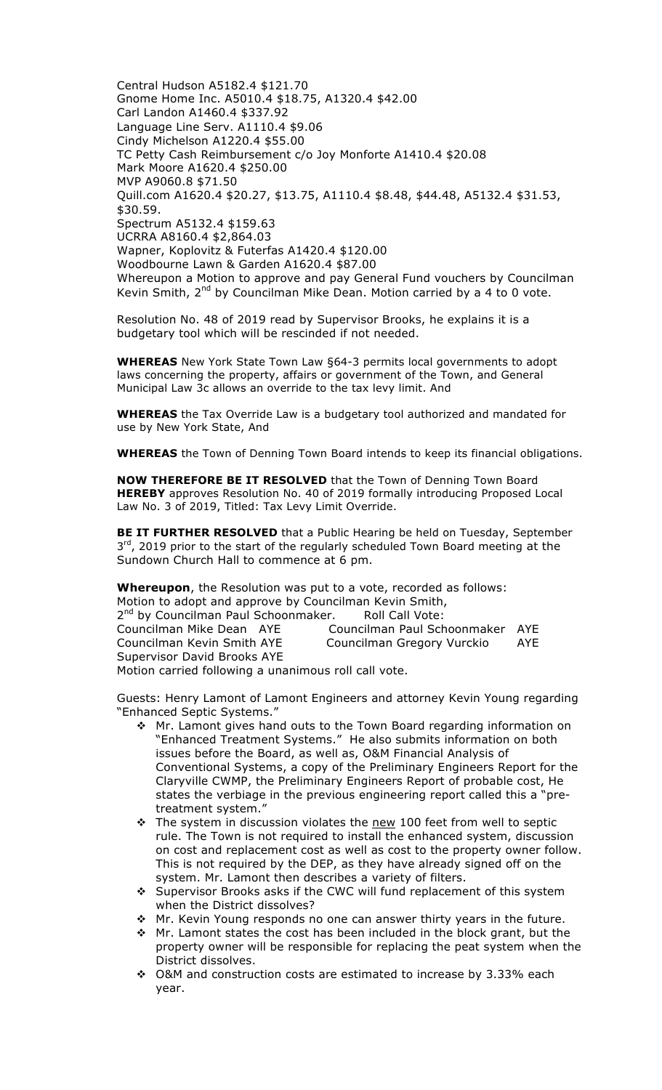Central Hudson A5182.4 \$121.70 Gnome Home Inc. A5010.4 \$18.75, A1320.4 \$42.00 Carl Landon A1460.4 \$337.92 Language Line Serv. A1110.4 \$9.06 Cindy Michelson A1220.4 \$55.00 TC Petty Cash Reimbursement c/o Joy Monforte A1410.4 \$20.08 Mark Moore A1620.4 \$250.00 MVP A9060.8 \$71.50 Quill.com A1620.4 \$20.27, \$13.75, A1110.4 \$8.48, \$44.48, A5132.4 \$31.53, \$30.59. Spectrum A5132.4 \$159.63 UCRRA A8160.4 \$2,864.03 Wapner, Koplovitz & Futerfas A1420.4 \$120.00 Woodbourne Lawn & Garden A1620.4 \$87.00 Whereupon a Motion to approve and pay General Fund vouchers by Councilman Kevin Smith,  $2^{nd}$  by Councilman Mike Dean. Motion carried by a 4 to 0 vote.

Resolution No. 48 of 2019 read by Supervisor Brooks, he explains it is a budgetary tool which will be rescinded if not needed.

**WHEREAS** New York State Town Law §64-3 permits local governments to adopt laws concerning the property, affairs or government of the Town, and General Municipal Law 3c allows an override to the tax levy limit. And

**WHEREAS** the Tax Override Law is a budgetary tool authorized and mandated for use by New York State, And

**WHEREAS** the Town of Denning Town Board intends to keep its financial obligations.

**NOW THEREFORE BE IT RESOLVED** that the Town of Denning Town Board **HEREBY** approves Resolution No. 40 of 2019 formally introducing Proposed Local Law No. 3 of 2019, Titled: Tax Levy Limit Override.

**BE IT FURTHER RESOLVED** that a Public Hearing be held on Tuesday, September 3<sup>rd</sup>, 2019 prior to the start of the regularly scheduled Town Board meeting at the Sundown Church Hall to commence at 6 pm.

**Whereupon**, the Resolution was put to a vote, recorded as follows: Motion to adopt and approve by Councilman Kevin Smith, 2<sup>nd</sup> by Councilman Paul Schoonmaker. Roll Call Vote:

Councilman Mike Dean AYE Councilman Paul Schoonmaker AYE Councilman Kevin Smith AYE Councilman Gregory Vurckio AYE Supervisor David Brooks AYE

Motion carried following a unanimous roll call vote.

Guests: Henry Lamont of Lamont Engineers and attorney Kevin Young regarding "Enhanced Septic Systems."

- ◆ Mr. Lamont gives hand outs to the Town Board regarding information on "Enhanced Treatment Systems." He also submits information on both issues before the Board, as well as, O&M Financial Analysis of Conventional Systems, a copy of the Preliminary Engineers Report for the Claryville CWMP, the Preliminary Engineers Report of probable cost, He states the verbiage in the previous engineering report called this a "pretreatment system."
- \* The system in discussion violates the new 100 feet from well to septic rule. The Town is not required to install the enhanced system, discussion on cost and replacement cost as well as cost to the property owner follow. This is not required by the DEP, as they have already signed off on the system. Mr. Lamont then describes a variety of filters.
- ◆ Supervisor Brooks asks if the CWC will fund replacement of this system when the District dissolves?
- \* Mr. Kevin Young responds no one can answer thirty years in the future.
- $\cdot \cdot$  Mr. Lamont states the cost has been included in the block grant, but the property owner will be responsible for replacing the peat system when the District dissolves.
- $\div$  O&M and construction costs are estimated to increase by 3.33% each year.